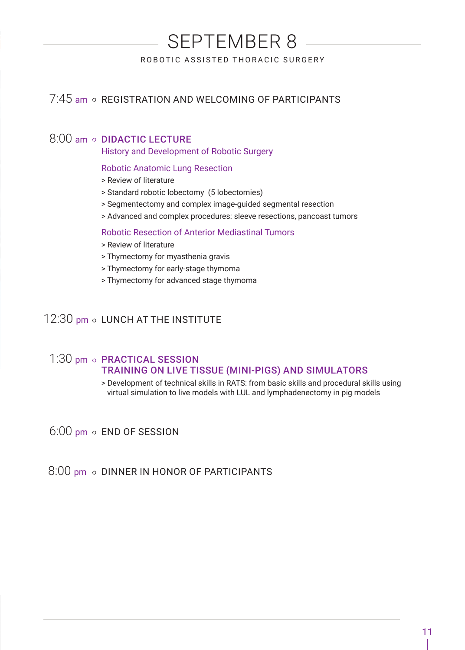# SEPTEMBER 8

ROBOTIC ASSISTED THORACIC SURGERY

# 7:45 am o REGISTRATION AND WELCOMING OF PARTICIPANTS

## $8:00$  am  $\circ$  DIDACTIC LECTURE

History and Development of Robotic Surgery

#### Robotic Anatomic Lung Resection

- > Review of literature
- > Standard robotic lobectomy (5 lobectomies)
- > Segmentectomy and complex image-guided segmental resection
- > Advanced and complex procedures: sleeve resections, pancoast tumors

#### Robotic Resection of Anterior Mediastinal Tumors

- > Review of literature
- > Thymectomy for myasthenia gravis
- > Thymectomy for early-stage thymoma
- > Thymectomy for advanced stage thymoma

## 12:30 pm o LUNCH AT THE INSTITUTE

### 1:30 pm o PRACTICAL SESSION TRAINING ON LIVE TISSUE (MINI-PIGS) AND SIMULATORS

> Development of technical skills in RATS: from basic skills and procedural skills using virtual simulation to live models with LUL and lymphadenectomy in pig models

6:00 pm o END OF SESSION

### $8:00 \text{ nm}$   $\circ$  DINNER IN HONOR OF PARTICIPANTS